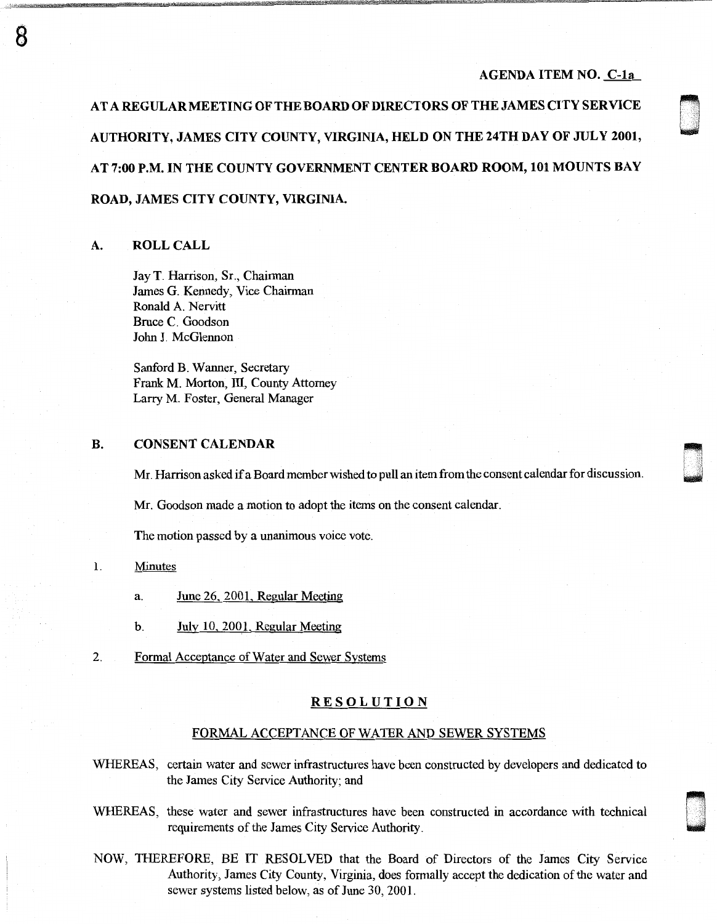### AGENDA ITEM NO. C-la

0<br>0<br>0

**\*** USA<br>\* uSA USA

n u<br>uma

AT A REGULAR MEETING OF THE BOARD OF DIRECTORS OF THE JAMES CITY SERVICE AUTHORITY, JAMES CITY COUNTY, VIRGINIA, HELD ON THE 24THDAY OF JULY 2001, AT 7:00 P.M. IN THE COUNTY GOVERNMENT CENTER BOARD ROOM, 101 MOUNTS BAY ROAD, JAMES CITY COUNTY, VIRGINIA.

# A. ROLL CALL

8

Jay T. Harrison, Sr., Chairman James G. Kennedy, Vice Chairman Ronald A. Nervitt Bruce C. Goodson John J. McGlennon

Sanford B. Wanner, Secretary Frank M. Morton, Ill, County Attorney Larry M. Foster, General Manager

#### B. CONSENT CALENDAR

Mr. Harrison asked if a Board member wished to pull an item from the consent calendar for discussion.

Mr. Goodson made a motion to adopt the items on the consent calendar.

The motion passed by a unanimous voice vote.

#### 1. Minutes

- a. June 26, 2001, Regular Meeting
- b. July 10, 2001, Regular Meeting
- 2. Formal Acceptance of Water and Sewer Systems

#### **RESOLUTION**

#### FORMAL ACCEPTANCE OF WATER AND SEWER SYSTEMS

WHEREAS, certain water and sewer infrastructures have been constructed by developers and dedicated to the James City Service Authority; and

- WHEREAS, these water and sewer infrastructures have been constructed in accordance with technical requirements of the James City Service Authority.
- NOW, THEREFORE, BE IT RESOLVED that the Board of Directors of the James City Service Authority, James City County, Virginia, does formally accept the dedication of the water and sewer systems listed below, as of June 30, 2001.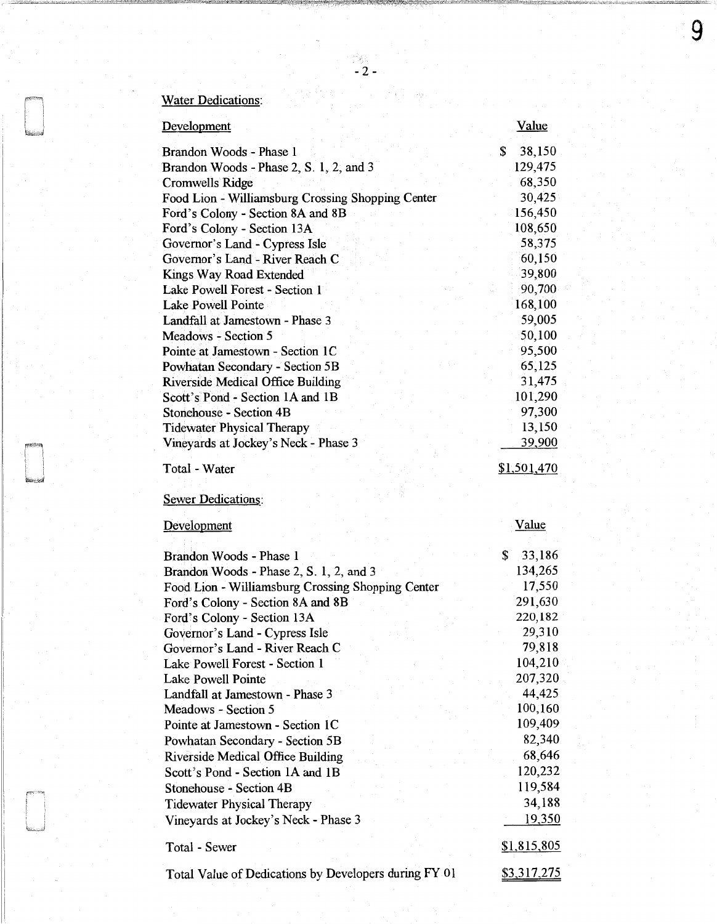| <b>Development</b>                                | <u>Value</u> |
|---------------------------------------------------|--------------|
| Brandon Woods - Phase 1                           | \$<br>38,150 |
| Brandon Woods - Phase 2, S. 1, 2, and 3           | 129,475      |
| Cromwells Ridge                                   | 68,350       |
| Food Lion - Williamsburg Crossing Shopping Center | 30,425       |
| Ford's Colony - Section 8A and 8B                 | 156,450      |
| Ford's Colony - Section 13A                       | 108,650      |
| Governor's Land - Cypress Isle                    | 58,375       |
| Governor's Land - River Reach C                   | 60,150       |
| Kings Way Road Extended                           | 39,800       |
| Lake Powell Forest - Section 1                    | 90,700       |
| Lake Powell Pointe                                | 168,100      |
| Landfall at Jamestown - Phase 3                   | 59,005       |
| Meadows - Section 5                               | 50,100       |
| Pointe at Jamestown - Section 1C                  | 95,500       |
| Powhatan Secondary - Section 5B                   | 65,125       |
| <b>Riverside Medical Office Building</b>          | 31,475       |
| Scott's Pond - Section 1A and 1B                  | 101,290      |
| Stonehouse - Section 4B                           | 97,300       |
| <b>Tidewater Physical Therapy</b>                 | 13,150       |
| Vineyards at Jockey's Neck - Phase 3              | 39,900       |
|                                                   |              |
| Total - Water                                     | \$1,501,470  |
|                                                   |              |
| Sewer Dedications:                                |              |
| Development                                       | <b>Value</b> |
|                                                   |              |
| Brandon Woods - Phase 1                           | \$<br>33,186 |
| Brandon Woods - Phase 2, S. 1, 2, and 3           | 134,265      |
| Food Lion - Williamsburg Crossing Shopping Center | 17,550       |
| Ford's Colony - Section 8A and 8B                 | 291,630      |
| Ford's Colony - Section 13A                       | 220,182      |
| Governor's Land - Cypress Isle                    | 29,310       |
| Governor's Land - River Reach C                   | 79,818       |
| Lake Powell Forest - Section 1                    | 104,210      |
| <b>Lake Powell Pointe</b>                         | 207,320      |
| Landfall at Jamestown - Phase 3                   | 44,425       |
| Meadows - Section 5                               | 100,160      |
| Pointe at Jamestown - Section 1C                  | 109,409      |
| Powhatan Secondary - Section 5B                   | 82,340       |
| <b>Riverside Medical Office Building</b>          | 68,646       |
| Scott's Pond - Section 1A and 1B                  | 120,232      |
| Stonehouse - Section 4B                           |              |
|                                                   |              |
|                                                   | 119,584      |
| <b>Tidewater Physical Therapy</b>                 | 34,188       |
| Vineyards at Jockey's Neck - Phase 3              | 19,350       |
| Total - Sewer                                     | \$1,815,805  |

 $\mathbb{Z}_2$  -  $\mathbb{Z}$  -

y V

9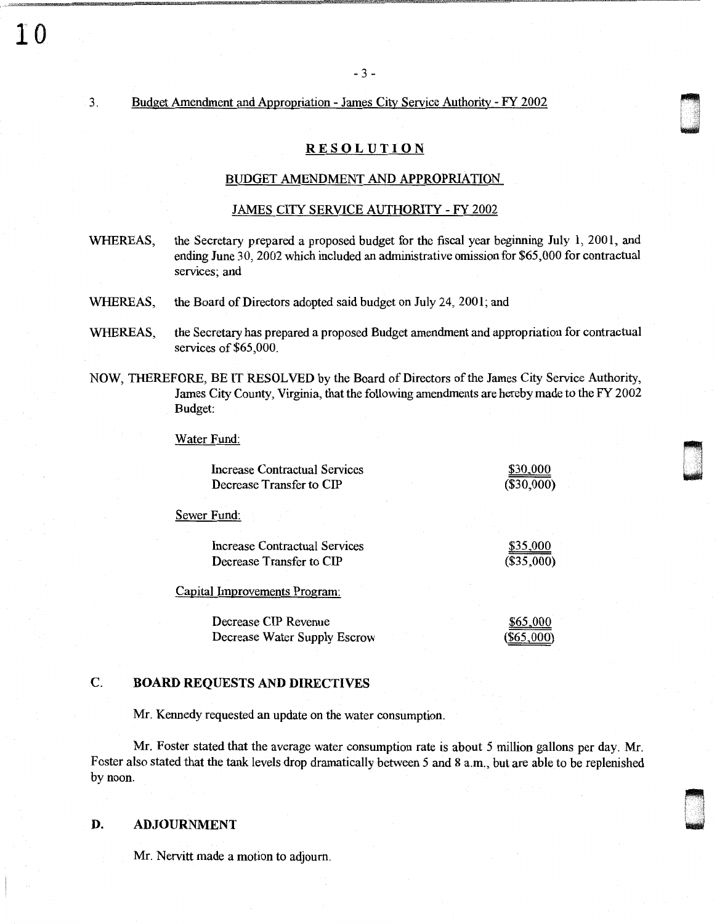#### 3. Budget Amendment and Appropriation - James City Service Authority - FY 2002

# RESOLUTION

0 '

- 3 -

#### BUDGET AMENDMENT AND APPROPRIATION

# JAMES CITY SERVICE AUTHORITY - FY 2002

- WHEREAS, the Secretary prepared a proposed budget for the fiscal year beginning July 1, 2001, and ending June 30, 2002 which included an administrative omission for \$65,000 for contractual services; and
- WHEREAS, the Board of Directors adopted said budget on July 24, 2001; and
- WHEREAS, the Secretary has prepared a proposed Budget amendment and appropriation for contractual services of \$65,000.
- NOW, THEREFORE, BE IT RESOLVED by the Board of Directors of the James City Service Authority, James City County, Virginia, that the following amendments are hereby made to the FY 2002 Budget:

Water Fund:

| Increase Contractual Services | \$30,000   |
|-------------------------------|------------|
| Decrease Transfer to CIP      | (\$30,000) |

Sewer Fund:

| Increase Contractual Services | \$35,000     |
|-------------------------------|--------------|
| Decrease Transfer to CIP      | $(\$35,000)$ |
|                               |              |

Capital Improvements Program:

| Decrease CIP Revenue         |  | \$65,000     |
|------------------------------|--|--------------|
| Decrease Water Supply Escrow |  | $(\$65,000)$ |

# C. BOARD REQUESTS AND DIRECTIVES

Mr. Kennedy requested an update on the water consumption.

Mr. Foster stated that the average water consumption rate is about 5 million gallons per day. Mr. Foster also stated that the tank levels drop dramatically between 5 and 8 a.m., but are able to be replenished by noon.

# D. ADJOURNMENT

Mr. Nervitt made a motion to adjourn.

10